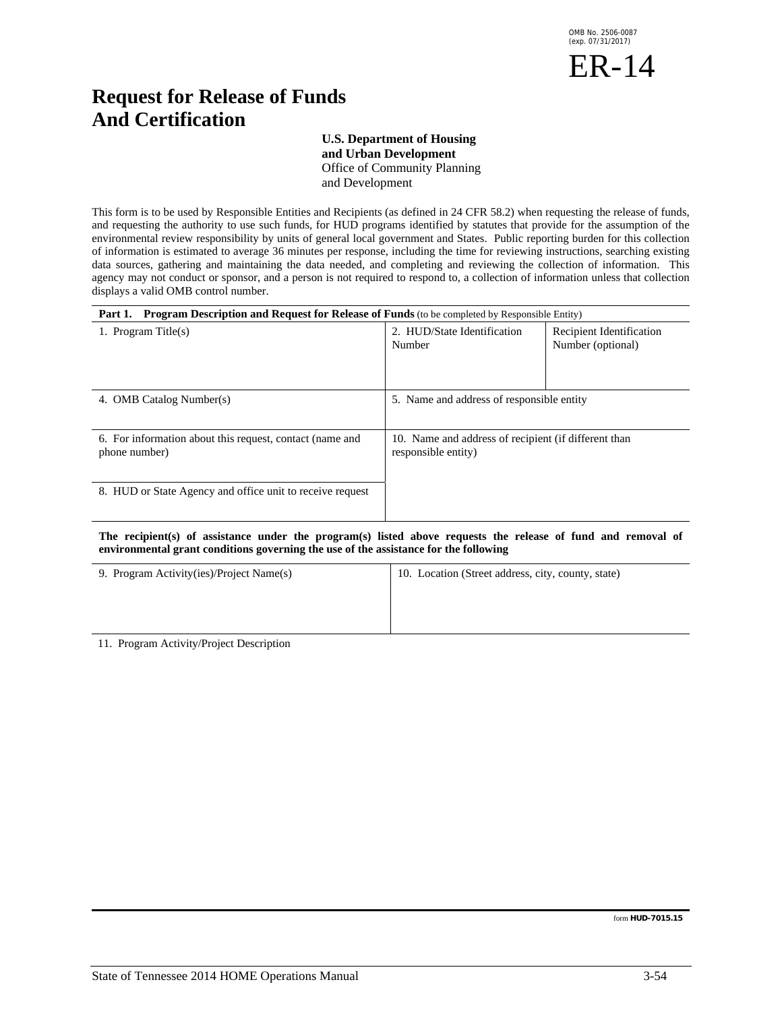

# **Request for Release of Funds And Certification**

# **U.S. Department of Housing**

 **and Urban Development**  Office of Community Planning and Development

This form is to be used by Responsible Entities and Recipients (as defined in 24 CFR 58.2) when requesting the release of funds, and requesting the authority to use such funds, for HUD programs identified by statutes that provide for the assumption of the environmental review responsibility by units of general local government and States. Public reporting burden for this collection of information is estimated to average 36 minutes per response, including the time for reviewing instructions, searching existing data sources, gathering and maintaining the data needed, and completing and reviewing the collection of information. This agency may not conduct or sponsor, and a person is not required to respond to, a collection of information unless that collection displays a valid OMB control number.

| <b>Program Description and Request for Release of Funds</b> (to be completed by Responsible Entity)<br>Part 1.                         |                                                                             |                                               |
|----------------------------------------------------------------------------------------------------------------------------------------|-----------------------------------------------------------------------------|-----------------------------------------------|
| 1. Program Title $(s)$                                                                                                                 | 2. HUD/State Identification<br>Number                                       | Recipient Identification<br>Number (optional) |
| 4. OMB Catalog Number(s)                                                                                                               | 5. Name and address of responsible entity                                   |                                               |
| 6. For information about this request, contact (name and<br>phone number)<br>8. HUD or State Agency and office unit to receive request | 10. Name and address of recipient (if different than<br>responsible entity) |                                               |
|                                                                                                                                        |                                                                             |                                               |

## **The recipient(s) of assistance under the program(s) listed above requests the release of fund and removal of environmental grant conditions governing the use of the assistance for the following**

| 9. Program Activity(ies)/Project Name(s) | 10. Location (Street address, city, county, state) |  |
|------------------------------------------|----------------------------------------------------|--|
|                                          |                                                    |  |
|                                          |                                                    |  |
|                                          |                                                    |  |

11. Program Activity/Project Description

form **HUD-7015.15**